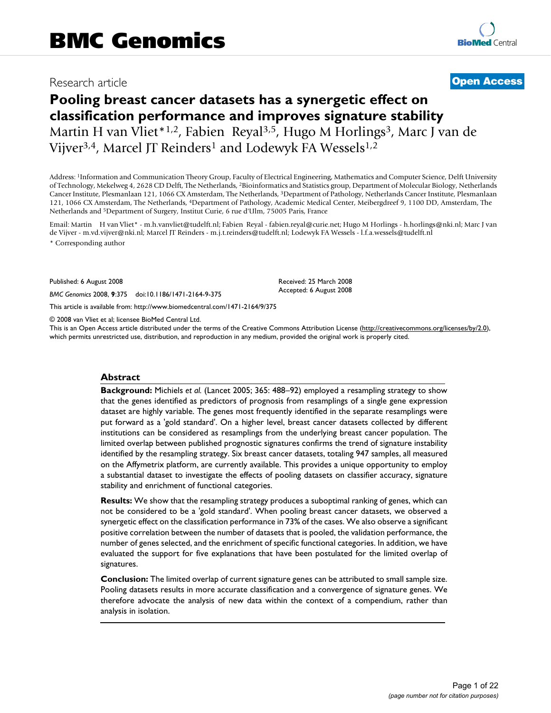# Research article **[Open Access](http://www.biomedcentral.com/info/about/charter/)**

# **Pooling breast cancer datasets has a synergetic effect on classification performance and improves signature stability** Martin H van Vliet<sup>\*1,2</sup>, Fabien Reyal<sup>3,5</sup>, Hugo M Horlings<sup>3</sup>, Marc J van de Vijver<sup>3,4</sup>, Marcel JT Reinders<sup>1</sup> and Lodewyk FA Wessels<sup>1,2</sup>

Address: 1Information and Communication Theory Group, Faculty of Electrical Engineering, Mathematics and Computer Science, Delft University of Technology, Mekelweg 4, 2628 CD Delft, The Netherlands, 2Bioinformatics and Statistics group, Department of Molecular Biology, Netherlands Cancer Institute, Plesmanlaan 121, 1066 CX Amsterdam, The Netherlands, 3Department of Pathology, Netherlands Cancer Institute, Plesmanlaan 121, 1066 CX Amsterdam, The Netherlands, 4Department of Pathology, Academic Medical Center, Meibergdreef 9, 1100 DD, Amsterdam, The Netherlands and 5Department of Surgery, Institut Curie, 6 rue d'Ulm, 75005 Paris, France

Email: Martin H van Vliet\* - m.h.vanvliet@tudelft.nl; Fabien Reyal - fabien.reyal@curie.net; Hugo M Horlings - h.horlings@nki.nl; Marc J van de Vijver - m.vd.vijver@nki.nl; Marcel JT Reinders - m.j.t.reinders@tudelft.nl; Lodewyk FA Wessels - l.f.a.wessels@tudelft.nl \* Corresponding author

> Received: 25 March 2008 Accepted: 6 August 2008

Published: 6 August 2008

*BMC Genomics* 2008, **9**:375 doi:10.1186/1471-2164-9-375

[This article is available from: http://www.biomedcentral.com/1471-2164/9/375](http://www.biomedcentral.com/1471-2164/9/375)

© 2008 van Vliet et al; licensee BioMed Central Ltd.

This is an Open Access article distributed under the terms of the Creative Commons Attribution License [\(http://creativecommons.org/licenses/by/2.0\)](http://creativecommons.org/licenses/by/2.0), which permits unrestricted use, distribution, and reproduction in any medium, provided the original work is properly cited.

#### **Abstract**

**Background:** Michiels *et al.* (Lancet 2005; 365: 488–92) employed a resampling strategy to show that the genes identified as predictors of prognosis from resamplings of a single gene expression dataset are highly variable. The genes most frequently identified in the separate resamplings were put forward as a 'gold standard'. On a higher level, breast cancer datasets collected by different institutions can be considered as resamplings from the underlying breast cancer population. The limited overlap between published prognostic signatures confirms the trend of signature instability identified by the resampling strategy. Six breast cancer datasets, totaling 947 samples, all measured on the Affymetrix platform, are currently available. This provides a unique opportunity to employ a substantial dataset to investigate the effects of pooling datasets on classifier accuracy, signature stability and enrichment of functional categories.

**Results:** We show that the resampling strategy produces a suboptimal ranking of genes, which can not be considered to be a 'gold standard'. When pooling breast cancer datasets, we observed a synergetic effect on the classification performance in 73% of the cases. We also observe a significant positive correlation between the number of datasets that is pooled, the validation performance, the number of genes selected, and the enrichment of specific functional categories. In addition, we have evaluated the support for five explanations that have been postulated for the limited overlap of signatures.

**Conclusion:** The limited overlap of current signature genes can be attributed to small sample size. Pooling datasets results in more accurate classification and a convergence of signature genes. We therefore advocate the analysis of new data within the context of a compendium, rather than analysis in isolation.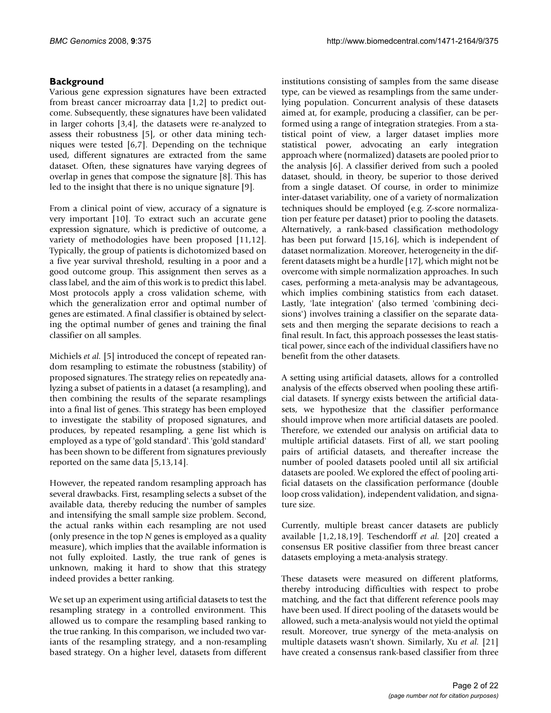## **Background**

Various gene expression signatures have been extracted from breast cancer microarray data [1,2] to predict outcome. Subsequently, these signatures have been validated in larger cohorts [3,4], the datasets were re-analyzed to assess their robustness [5], or other data mining techniques were tested [6,7]. Depending on the technique used, different signatures are extracted from the same dataset. Often, these signatures have varying degrees of overlap in genes that compose the signature [8]. This has led to the insight that there is no unique signature [9].

From a clinical point of view, accuracy of a signature is very important [10]. To extract such an accurate gene expression signature, which is predictive of outcome, a variety of methodologies have been proposed [11,12]. Typically, the group of patients is dichotomized based on a five year survival threshold, resulting in a poor and a good outcome group. This assignment then serves as a class label, and the aim of this work is to predict this label. Most protocols apply a cross validation scheme, with which the generalization error and optimal number of genes are estimated. A final classifier is obtained by selecting the optimal number of genes and training the final classifier on all samples.

Michiels *et al.* [5] introduced the concept of repeated random resampling to estimate the robustness (stability) of proposed signatures. The strategy relies on repeatedly analyzing a subset of patients in a dataset (a resampling), and then combining the results of the separate resamplings into a final list of genes. This strategy has been employed to investigate the stability of proposed signatures, and produces, by repeated resampling, a gene list which is employed as a type of 'gold standard'. This 'gold standard' has been shown to be different from signatures previously reported on the same data [5,13,14].

However, the repeated random resampling approach has several drawbacks. First, resampling selects a subset of the available data, thereby reducing the number of samples and intensifying the small sample size problem. Second, the actual ranks within each resampling are not used (only presence in the top *N* genes is employed as a quality measure), which implies that the available information is not fully exploited. Lastly, the true rank of genes is unknown, making it hard to show that this strategy indeed provides a better ranking.

We set up an experiment using artificial datasets to test the resampling strategy in a controlled environment. This allowed us to compare the resampling based ranking to the true ranking. In this comparison, we included two variants of the resampling strategy, and a non-resampling based strategy. On a higher level, datasets from different

institutions consisting of samples from the same disease type, can be viewed as resamplings from the same underlying population. Concurrent analysis of these datasets aimed at, for example, producing a classifier, can be performed using a range of integration strategies. From a statistical point of view, a larger dataset implies more statistical power, advocating an early integration approach where (normalized) datasets are pooled prior to the analysis [6]. A classifier derived from such a pooled dataset, should, in theory, be superior to those derived from a single dataset. Of course, in order to minimize inter-dataset variability, one of a variety of normalization techniques should be employed (e.g. Z-score normalization per feature per dataset) prior to pooling the datasets. Alternatively, a rank-based classification methodology has been put forward [15,16], which is independent of dataset normalization. Moreover, heterogeneity in the different datasets might be a hurdle [17], which might not be overcome with simple normalization approaches. In such cases, performing a meta-analysis may be advantageous, which implies combining statistics from each dataset. Lastly, 'late integration' (also termed 'combining decisions') involves training a classifier on the separate datasets and then merging the separate decisions to reach a final result. In fact, this approach possesses the least statistical power, since each of the individual classifiers have no benefit from the other datasets.

A setting using artificial datasets, allows for a controlled analysis of the effects observed when pooling these artificial datasets. If synergy exists between the artificial datasets, we hypothesize that the classifier performance should improve when more artificial datasets are pooled. Therefore, we extended our analysis on artificial data to multiple artificial datasets. First of all, we start pooling pairs of artificial datasets, and thereafter increase the number of pooled datasets pooled until all six artificial datasets are pooled. We explored the effect of pooling artificial datasets on the classification performance (double loop cross validation), independent validation, and signature size.

Currently, multiple breast cancer datasets are publicly available [1,2,18,19]. Teschendorff *et al.* [20] created a consensus ER positive classifier from three breast cancer datasets employing a meta-analysis strategy.

These datasets were measured on different platforms, thereby introducing difficulties with respect to probe matching, and the fact that different reference pools may have been used. If direct pooling of the datasets would be allowed, such a meta-analysis would not yield the optimal result. Moreover, true synergy of the meta-analysis on multiple datasets wasn't shown. Similarly, Xu *et al.* [21] have created a consensus rank-based classifier from three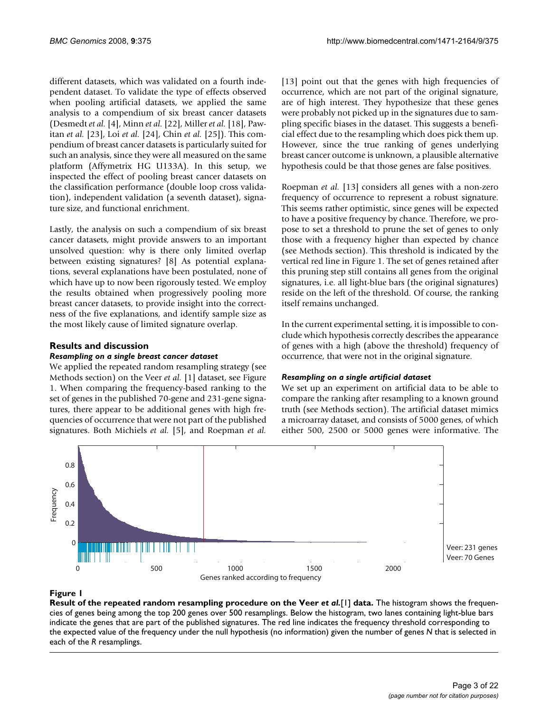different datasets, which was validated on a fourth independent dataset. To validate the type of effects observed when pooling artificial datasets, we applied the same analysis to a compendium of six breast cancer datasets (Desmedt *et al.* [4], Minn *et al.* [22], Miller *et al.* [18], Pawitan *et al.* [23], Loi *et al.* [24], Chin *et al.* [25]). This compendium of breast cancer datasets is particularly suited for such an analysis, since they were all measured on the same platform (Affymetrix HG U133A). In this setup, we inspected the effect of pooling breast cancer datasets on the classification performance (double loop cross validation), independent validation (a seventh dataset), signature size, and functional enrichment.

Lastly, the analysis on such a compendium of six breast cancer datasets, might provide answers to an important unsolved question: why is there only limited overlap between existing signatures? [8] As potential explanations, several explanations have been postulated, none of which have up to now been rigorously tested. We employ the results obtained when progressively pooling more breast cancer datasets, to provide insight into the correctness of the five explanations, and identify sample size as the most likely cause of limited signature overlap.

#### **Results and discussion**

#### *Resampling on a single breast cancer dataset*

We applied the repeated random resampling strategy (see Methods section) on the Veer *et al.* [1] dataset, see Figure 1. When comparing the frequency-based ranking to the set of genes in the published 70-gene and 231-gene signatures, there appear to be additional genes with high frequencies of occurrence that were not part of the published signatures. Both Michiels *et al.* [5], and Roepman *et al.*

[13] point out that the genes with high frequencies of occurrence, which are not part of the original signature, are of high interest. They hypothesize that these genes were probably not picked up in the signatures due to sampling specific biases in the dataset. This suggests a beneficial effect due to the resampling which does pick them up. However, since the true ranking of genes underlying breast cancer outcome is unknown, a plausible alternative hypothesis could be that those genes are false positives.

Roepman *et al.* [13] considers all genes with a non-zero frequency of occurrence to represent a robust signature. This seems rather optimistic, since genes will be expected to have a positive frequency by chance. Therefore, we propose to set a threshold to prune the set of genes to only those with a frequency higher than expected by chance (see Methods section). This threshold is indicated by the vertical red line in Figure 1. The set of genes retained after this pruning step still contains all genes from the original signatures, i.e. all light-blue bars (the original signatures) reside on the left of the threshold. Of course, the ranking itself remains unchanged.

In the current experimental setting, it is impossible to conclude which hypothesis correctly describes the appearance of genes with a high (above the threshold) frequency of occurrence, that were not in the original signature.

#### *Resampling on a single artificial dataset*

We set up an experiment on artificial data to be able to compare the ranking after resampling to a known ground truth (see Methods section). The artificial dataset mimics a microarray dataset, and consists of 5000 genes, of which either 500, 2500 or 5000 genes were informative. The



## Result of the repeated random resampling procedure on the Veer **Figure 1** *et al.* [1] data

**Result of the repeated random resampling procedure on the Veer et al.<sup>[1]</sup> data. The histogram shows the frequen**cies of genes being among the top 200 genes over 500 resamplings. Below the histogram, two lanes containing light-blue bars indicate the genes that are part of the published signatures. The red line indicates the frequency threshold corresponding to the expected value of the frequency under the null hypothesis (no information) given the number of genes *N* that is selected in each of the *R* resamplings.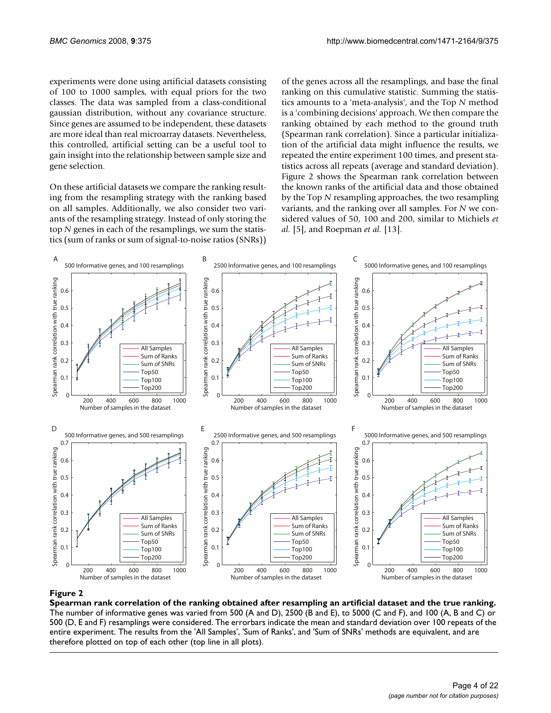experiments were done using artificial datasets consisting of 100 to 1000 samples, with equal priors for the two classes. The data was sampled from a class-conditional gaussian distribution, without any covariance structure. Since genes are assumed to be independent, these datasets are more ideal than real microarray datasets. Nevertheless, this controlled, artificial setting can be a useful tool to gain insight into the relationship between sample size and gene selection.

On these artificial datasets we compare the ranking resulting from the resampling strategy with the ranking based on all samples. Additionally, we also consider two variants of the resampling strategy. Instead of only storing the top *N* genes in each of the resamplings, we sum the statistics (sum of ranks or sum of signal-to-noise ratios (SNRs)) of the genes across all the resamplings, and base the final ranking on this cumulative statistic. Summing the statistics amounts to a 'meta-analysis', and the Top *N* method is a 'combining decisions' approach. We then compare the ranking obtained by each method to the ground truth (Spearman rank correlation). Since a particular initialization of the artificial data might influence the results, we repeated the entire experiment 100 times, and present statistics across all repeats (average and standard deviation). Figure 2 shows the Spearman rank correlation between the known ranks of the artificial data and those obtained by the Top *N* resampling approaches, the two resampling variants, and the ranking over all samples. For *N* we considered values of 50, 100 and 200, similar to Michiels *et al.* [5], and Roepman *et al.* [13].



#### Spearman rank correlation of the ranking obtained after **Figure 2** resampling an artificial dataset and the true ranking

**Spearman rank correlation of the ranking obtained after resampling an artificial dataset and the true ranking.** The number of informative genes was varied from 500 (A and D), 2500 (B and E), to 5000 (C and F), and 100 (A, B and C) or 500 (D, E and F) resamplings were considered. The errorbars indicate the mean and standard deviation over 100 repeats of the entire experiment. The results from the 'All Samples', 'Sum of Ranks', and 'Sum of SNRs' methods are equivalent, and are therefore plotted on top of each other (top line in all plots).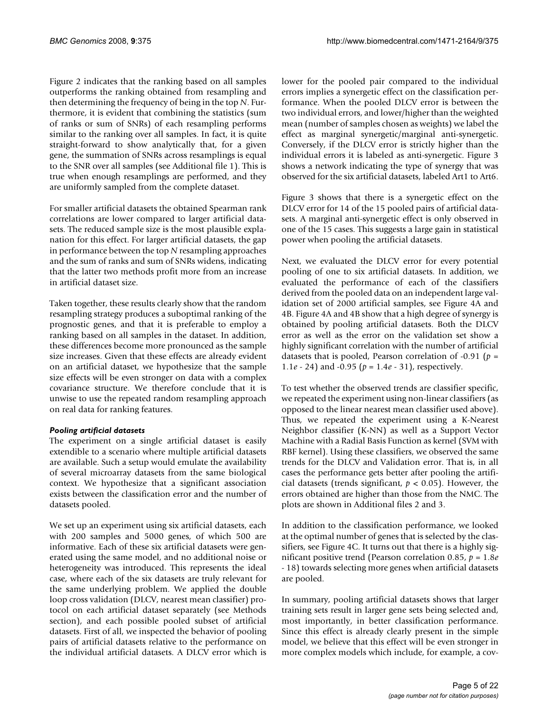Figure 2 indicates that the ranking based on all samples outperforms the ranking obtained from resampling and then determining the frequency of being in the top *N*. Furthermore, it is evident that combining the statistics (sum of ranks or sum of SNRs) of each resampling performs similar to the ranking over all samples. In fact, it is quite straight-forward to show analytically that, for a given gene, the summation of SNRs across resamplings is equal to the SNR over all samples (see Additional file 1). This is true when enough resamplings are performed, and they are uniformly sampled from the complete dataset.

For smaller artificial datasets the obtained Spearman rank correlations are lower compared to larger artificial datasets. The reduced sample size is the most plausible explanation for this effect. For larger artificial datasets, the gap in performance between the top *N* resampling approaches and the sum of ranks and sum of SNRs widens, indicating that the latter two methods profit more from an increase in artificial dataset size.

Taken together, these results clearly show that the random resampling strategy produces a suboptimal ranking of the prognostic genes, and that it is preferable to employ a ranking based on all samples in the dataset. In addition, these differences become more pronounced as the sample size increases. Given that these effects are already evident on an artificial dataset, we hypothesize that the sample size effects will be even stronger on data with a complex covariance structure. We therefore conclude that it is unwise to use the repeated random resampling approach on real data for ranking features.

#### *Pooling artificial datasets*

The experiment on a single artificial dataset is easily extendible to a scenario where multiple artificial datasets are available. Such a setup would emulate the availability of several microarray datasets from the same biological context. We hypothesize that a significant association exists between the classification error and the number of datasets pooled.

We set up an experiment using six artificial datasets, each with 200 samples and 5000 genes, of which 500 are informative. Each of these six artificial datasets were generated using the same model, and no additional noise or heterogeneity was introduced. This represents the ideal case, where each of the six datasets are truly relevant for the same underlying problem. We applied the double loop cross validation (DLCV, nearest mean classifier) protocol on each artificial dataset separately (see Methods section), and each possible pooled subset of artificial datasets. First of all, we inspected the behavior of pooling pairs of artificial datasets relative to the performance on the individual artificial datasets. A DLCV error which is lower for the pooled pair compared to the individual errors implies a synergetic effect on the classification performance. When the pooled DLCV error is between the two individual errors, and lower/higher than the weighted mean (number of samples chosen as weights) we label the effect as marginal synergetic/marginal anti-synergetic. Conversely, if the DLCV error is strictly higher than the individual errors it is labeled as anti-synergetic. Figure 3 shows a network indicating the type of synergy that was observed for the six artificial datasets, labeled Art1 to Art6.

Figure 3 shows that there is a synergetic effect on the DLCV error for 14 of the 15 pooled pairs of artificial datasets. A marginal anti-synergetic effect is only observed in one of the 15 cases. This suggests a large gain in statistical power when pooling the artificial datasets.

Next, we evaluated the DLCV error for every potential pooling of one to six artificial datasets. In addition, we evaluated the performance of each of the classifiers derived from the pooled data on an independent large validation set of 2000 artificial samples, see Figure 4A and 4B. Figure 4A and 4B show that a high degree of synergy is obtained by pooling artificial datasets. Both the DLCV error as well as the error on the validation set show a highly significant correlation with the number of artificial datasets that is pooled, Pearson correlation of -0.91 (*p* = 1.1*e* - 24) and -0.95 (*p* = 1.4*e* - 31), respectively.

To test whether the observed trends are classifier specific, we repeated the experiment using non-linear classifiers (as opposed to the linear nearest mean classifier used above). Thus, we repeated the experiment using a K-Nearest Neighbor classifier (K-NN) as well as a Support Vector Machine with a Radial Basis Function as kernel (SVM with RBF kernel). Using these classifiers, we observed the same trends for the DLCV and Validation error. That is, in all cases the performance gets better after pooling the artificial datasets (trends significant, *p* < 0.05). However, the errors obtained are higher than those from the NMC. The plots are shown in Additional files 2 and 3.

In addition to the classification performance, we looked at the optimal number of genes that is selected by the classifiers, see Figure 4C. It turns out that there is a highly significant positive trend (Pearson correlation 0.85, *p* = 1.8*e* - 18) towards selecting more genes when artificial datasets are pooled.

In summary, pooling artificial datasets shows that larger training sets result in larger gene sets being selected and, most importantly, in better classification performance. Since this effect is already clearly present in the simple model, we believe that this effect will be even stronger in more complex models which include, for example, a cov-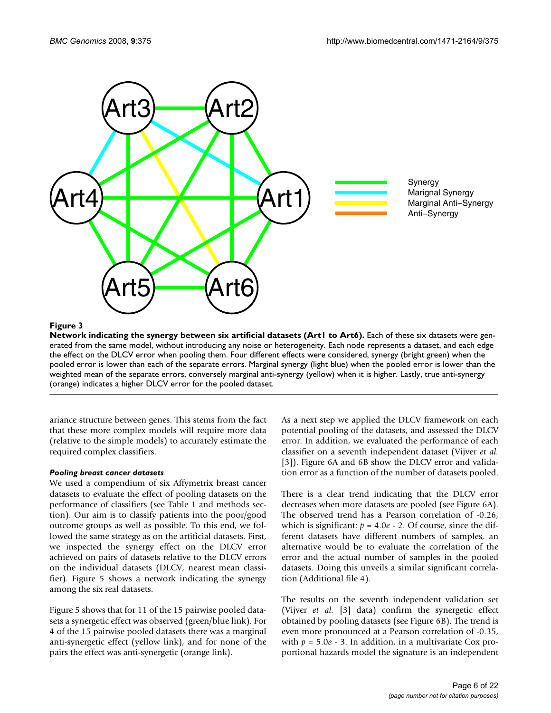

#### Figure 3

**Network indicating the synergy between six artificial datasets (Art1 to Art6).** Each of these six datasets were generated from the same model, without introducing any noise or heterogeneity. Each node represents a dataset, and each edge the effect on the DLCV error when pooling them. Four different effects were considered, synergy (bright green) when the pooled error is lower than each of the separate errors. Marginal synergy (light blue) when the pooled error is lower than the weighted mean of the separate errors, conversely marginal anti-synergy (yellow) when it is higher. Lastly, true anti-synergy (orange) indicates a higher DLCV error for the pooled dataset.

ariance structure between genes. This stems from the fact that these more complex models will require more data (relative to the simple models) to accurately estimate the required complex classifiers.

#### *Pooling breast cancer datasets*

We used a compendium of six Affymetrix breast cancer datasets to evaluate the effect of pooling datasets on the performance of classifiers (see Table 1 and methods section). Our aim is to classify patients into the poor/good outcome groups as well as possible. To this end, we followed the same strategy as on the artificial datasets. First, we inspected the synergy effect on the DLCV error achieved on pairs of datasets relative to the DLCV errors on the individual datasets (DLCV, nearest mean classifier). Figure 5 shows a network indicating the synergy among the six real datasets.

Figure 5 shows that for 11 of the 15 pairwise pooled datasets a synergetic effect was observed (green/blue link). For 4 of the 15 pairwise pooled datasets there was a marginal anti-synergetic effect (yellow link), and for none of the pairs the effect was anti-synergetic (orange link).

As a next step we applied the DLCV framework on each potential pooling of the datasets, and assessed the DLCV error. In addition, we evaluated the performance of each classifier on a seventh independent dataset (Vijver *et al.* [3]). Figure 6A and 6B show the DLCV error and validation error as a function of the number of datasets pooled.

There is a clear trend indicating that the DLCV error decreases when more datasets are pooled (see Figure 6A). The observed trend has a Pearson correlation of -0.26, which is significant:  $p = 4.0e - 2$ . Of course, since the different datasets have different numbers of samples, an alternative would be to evaluate the correlation of the error and the actual number of samples in the pooled datasets. Doing this unveils a similar significant correlation (Additional file 4).

The results on the seventh independent validation set (Vijver *et al.* [3] data) confirm the synergetic effect obtained by pooling datasets (see Figure 6B). The trend is even more pronounced at a Pearson correlation of -0.35, with *p* = 5.0*e* - 3. In addition, in a multivariate Cox proportional hazards model the signature is an independent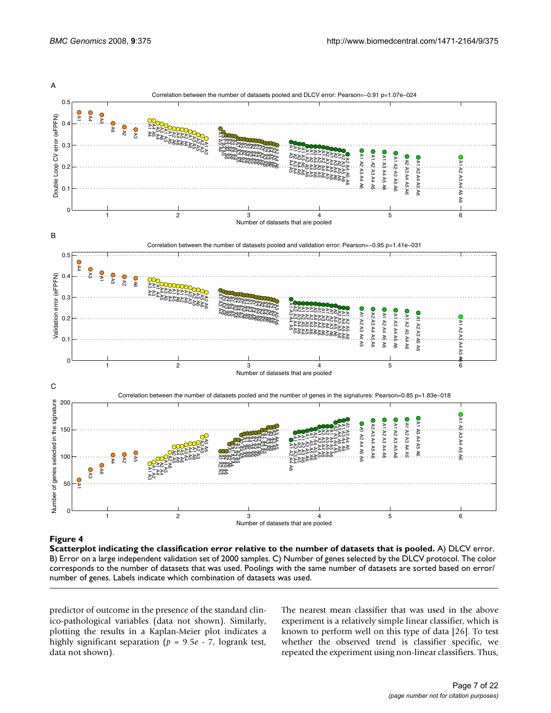

Scatterplot indicating th **Figure 4** e classification error relative to the number of datasets that is pooled

**Scatterplot indicating the classification error relative to the number of datasets that is pooled.** A) DLCV error. B) Error on a large independent validation set of 2000 samples. C) Number of genes selected by the DLCV protocol. The color corresponds to the number of datasets that was used. Poolings with the same number of datasets are sorted based on error/ number of genes. Labels indicate which combination of datasets was used.

predictor of outcome in the presence of the standard clinico-pathological variables (data not shown). Similarly, plotting the results in a Kaplan-Meier plot indicates a highly significant separation (*p* = 9.5*e* - 7, logrank test, data not shown).

The nearest mean classifier that was used in the above experiment is a relatively simple linear classifier, which is known to perform well on this type of data [26]. To test whether the observed trend is classifier specific, we repeated the experiment using non-linear classifiers. Thus,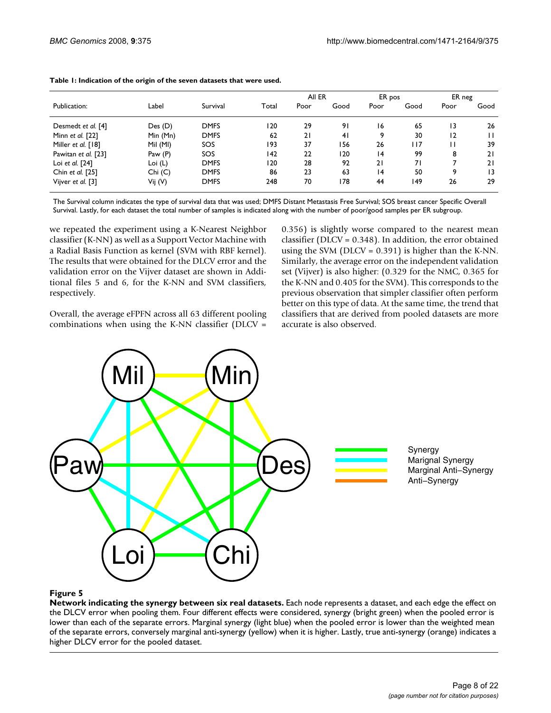|                     |          |             |       | All ER |      | ER pos          |      | ER neg         |      |
|---------------------|----------|-------------|-------|--------|------|-----------------|------|----------------|------|
| Publication:        | Label    | Survival    | Total | Poor   | Good | Poor            | Good | Poor           | Good |
| Desmedt et al. [4]  | Des(D)   | <b>DMFS</b> | 120   | 29     | 91   | 16              | 65   | 13             | 26   |
| Minn et al. [22]    | Min (Mn) | <b>DMFS</b> | 62    | 21     | 41   | 9               | 30   | $\overline{2}$ | П    |
| Miller et al. [18]  | Mil (MI) | SOS         | 193   | 37     | 156  | 26              | 117  | П              | 39   |
| Pawitan et al. [23] | Paw (P)  | SOS         | 142   | 22     | 120  | $\overline{14}$ | 99   | 8              | 21   |
| Loi et al. [24]     | Loi (L)  | <b>DMFS</b> | 120   | 28     | 92   | 21              | 71   |                | 21   |
| Chin et al. [25]    | Chi(C)   | <b>DMFS</b> | 86    | 23     | 63   | $\overline{14}$ | 50   | 9              | 13   |
| Vijver et al. [3]   | Vij (V)  | <b>DMFS</b> | 248   | 70     | 178  | 44              | 149  | 26             | 29   |

#### **Table 1: Indication of the origin of the seven datasets that were used.**

The Survival column indicates the type of survival data that was used; DMFS Distant Metastasis Free Survival; SOS breast cancer Specific Overall Survival. Lastly, for each dataset the total number of samples is indicated along with the number of poor/good samples per ER subgroup.

we repeated the experiment using a K-Nearest Neighbor classifier (K-NN) as well as a Support Vector Machine with a Radial Basis Function as kernel (SVM with RBF kernel). The results that were obtained for the DLCV error and the validation error on the Vijver dataset are shown in Additional files 5 and 6, for the K-NN and SVM classifiers, respectively.

Overall, the average eFPFN across all 63 different pooling combinations when using the K-NN classifier (DLCV =

0.356) is slightly worse compared to the nearest mean classifier (DLCV = 0.348). In addition, the error obtained using the SVM (DLCV =  $0.391$ ) is higher than the K-NN. Similarly, the average error on the independent validation set (Vijver) is also higher: (0.329 for the NMC, 0.365 for the K-NN and 0.405 for the SVM). This corresponds to the previous observation that simpler classifier often perform better on this type of data. At the same time, the trend that classifiers that are derived from pooled datasets are more accurate is also observed.



#### Figure 5

**Network indicating the synergy between six real datasets.** Each node represents a dataset, and each edge the effect on the DLCV error when pooling them. Four different effects were considered, synergy (bright green) when the pooled error is lower than each of the separate errors. Marginal synergy (light blue) when the pooled error is lower than the weighted mean of the separate errors, conversely marginal anti-synergy (yellow) when it is higher. Lastly, true anti-synergy (orange) indicates a higher DLCV error for the pooled dataset.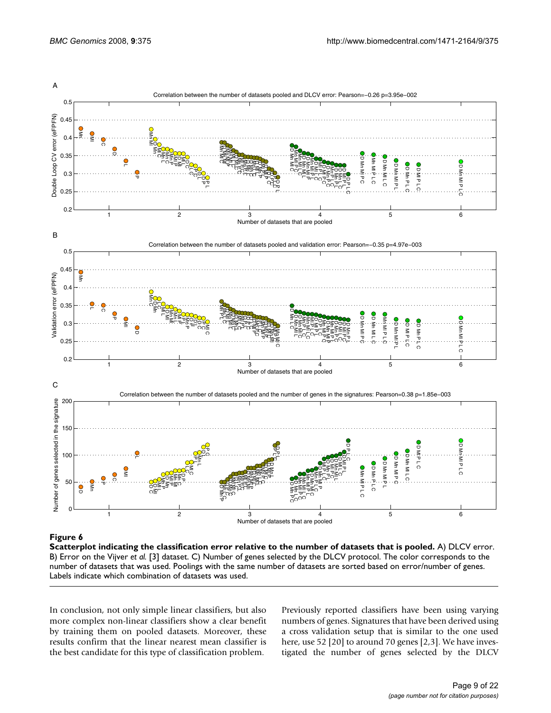

#### Scatterplot indicating th **Figure 6** e classification error relative to the number of datasets that is pooled

**Scatterplot indicating the classification error relative to the number of datasets that is pooled.** A) DLCV error. B) Error on the Vijver *et al.* [3] dataset. C) Number of genes selected by the DLCV protocol. The color corresponds to the number of datasets that was used. Poolings with the same number of datasets are sorted based on error/number of genes. Labels indicate which combination of datasets was used.

In conclusion, not only simple linear classifiers, but also more complex non-linear classifiers show a clear benefit by training them on pooled datasets. Moreover, these results confirm that the linear nearest mean classifier is the best candidate for this type of classification problem.

Previously reported classifiers have been using varying numbers of genes. Signatures that have been derived using a cross validation setup that is similar to the one used here, use 52 [20] to around 70 genes [2,3]. We have investigated the number of genes selected by the DLCV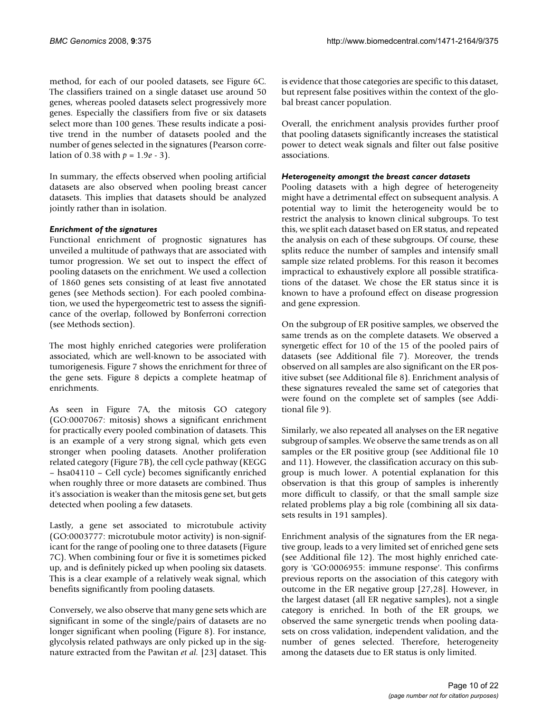method, for each of our pooled datasets, see Figure 6C. The classifiers trained on a single dataset use around 50 genes, whereas pooled datasets select progressively more genes. Especially the classifiers from five or six datasets select more than 100 genes. These results indicate a positive trend in the number of datasets pooled and the number of genes selected in the signatures (Pearson correlation of 0.38 with *p* = 1.9*e* - 3).

In summary, the effects observed when pooling artificial datasets are also observed when pooling breast cancer datasets. This implies that datasets should be analyzed jointly rather than in isolation.

#### *Enrichment of the signatures*

Functional enrichment of prognostic signatures has unveiled a multitude of pathways that are associated with tumor progression. We set out to inspect the effect of pooling datasets on the enrichment. We used a collection of 1860 genes sets consisting of at least five annotated genes (see Methods section). For each pooled combination, we used the hypergeometric test to assess the significance of the overlap, followed by Bonferroni correction (see Methods section).

The most highly enriched categories were proliferation associated, which are well-known to be associated with tumorigenesis. Figure 7 shows the enrichment for three of the gene sets. Figure 8 depicts a complete heatmap of enrichments.

As seen in Figure 7A, the mitosis GO category (GO:0007067: mitosis) shows a significant enrichment for practically every pooled combination of datasets. This is an example of a very strong signal, which gets even stronger when pooling datasets. Another proliferation related category (Figure 7B), the cell cycle pathway (KEGG – hsa04110 – Cell cycle) becomes significantly enriched when roughly three or more datasets are combined. Thus it's association is weaker than the mitosis gene set, but gets detected when pooling a few datasets.

Lastly, a gene set associated to microtubule activity (GO:0003777: microtubule motor activity) is non-significant for the range of pooling one to three datasets (Figure 7C). When combining four or five it is sometimes picked up, and is definitely picked up when pooling six datasets. This is a clear example of a relatively weak signal, which benefits significantly from pooling datasets.

Conversely, we also observe that many gene sets which are significant in some of the single/pairs of datasets are no longer significant when pooling (Figure 8). For instance, glycolysis related pathways are only picked up in the signature extracted from the Pawitan *et al.* [23] dataset. This is evidence that those categories are specific to this dataset, but represent false positives within the context of the global breast cancer population.

Overall, the enrichment analysis provides further proof that pooling datasets significantly increases the statistical power to detect weak signals and filter out false positive associations.

#### *Heterogeneity amongst the breast cancer datasets*

Pooling datasets with a high degree of heterogeneity might have a detrimental effect on subsequent analysis. A potential way to limit the heterogeneity would be to restrict the analysis to known clinical subgroups. To test this, we split each dataset based on ER status, and repeated the analysis on each of these subgroups. Of course, these splits reduce the number of samples and intensify small sample size related problems. For this reason it becomes impractical to exhaustively explore all possible stratifications of the dataset. We chose the ER status since it is known to have a profound effect on disease progression and gene expression.

On the subgroup of ER positive samples, we observed the same trends as on the complete datasets. We observed a synergetic effect for 10 of the 15 of the pooled pairs of datasets (see Additional file 7). Moreover, the trends observed on all samples are also significant on the ER positive subset (see Additional file 8). Enrichment analysis of these signatures revealed the same set of categories that were found on the complete set of samples (see Additional file 9).

Similarly, we also repeated all analyses on the ER negative subgroup of samples. We observe the same trends as on all samples or the ER positive group (see Additional file 10 and 11). However, the classification accuracy on this subgroup is much lower. A potential explanation for this observation is that this group of samples is inherently more difficult to classify, or that the small sample size related problems play a big role (combining all six datasets results in 191 samples).

Enrichment analysis of the signatures from the ER negative group, leads to a very limited set of enriched gene sets (see Additional file 12). The most highly enriched category is 'GO:0006955: immune response'. This confirms previous reports on the association of this category with outcome in the ER negative group [27,28]. However, in the largest dataset (all ER negative samples), not a single category is enriched. In both of the ER groups, we observed the same synergetic trends when pooling datasets on cross validation, independent validation, and the number of genes selected. Therefore, heterogeneity among the datasets due to ER status is only limited.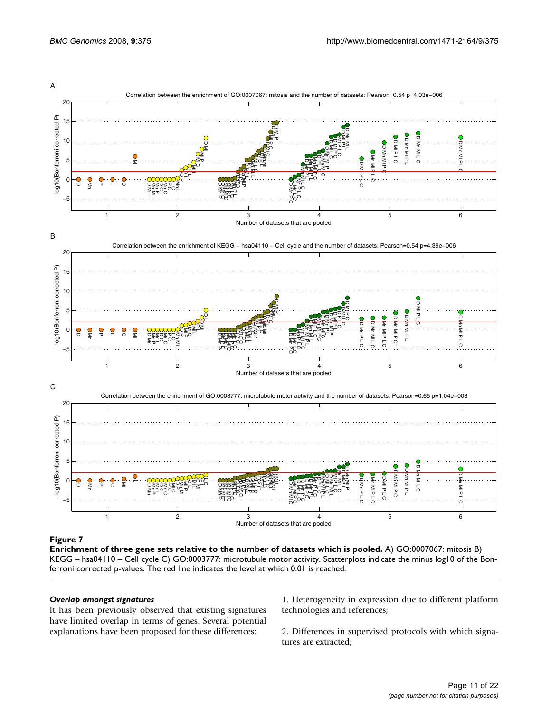

#### Figure 7

**Enrichment of three gene sets relative to the number of datasets which is pooled.** A) GO:0007067: mitosis B) KEGG – hsa04110 – Cell cycle C) GO:0003777: microtubule motor activity. Scatterplots indicate the minus log10 of the Bonferroni corrected p-values. The red line indicates the level at which 0.01 is reached.

#### *Overlap amongst signatures*

It has been previously observed that existing signatures have limited overlap in terms of genes. Several potential explanations have been proposed for these differences:

1. Heterogeneity in expression due to different platform technologies and references;

2. Differences in supervised protocols with which signatures are extracted;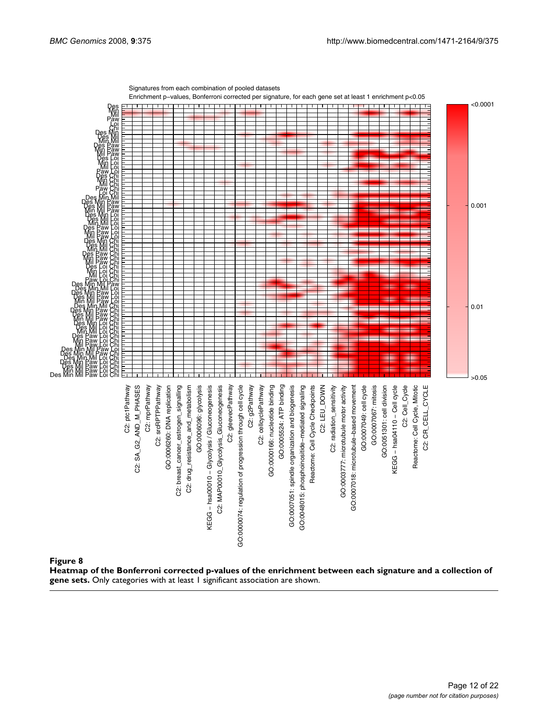

**Figure 8** Heatmap of the Bonferroni corrected p-values of the enrichment between each signature and a collection of general signature and a collection of general signature and a collection of general signature and a colle

**Heatmap of the Bonferroni corrected p-values of the enrichment between each signature and a collection of gene sets.** Only categories with at least 1 significant association are shown.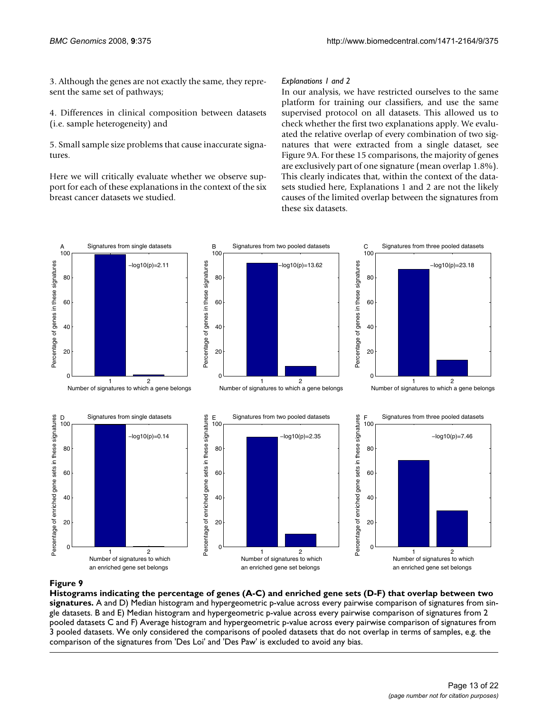3. Although the genes are not exactly the same, they represent the same set of pathways;

4. Differences in clinical composition between datasets (i.e. sample heterogeneity) and

5. Small sample size problems that cause inaccurate signatures.

Here we will critically evaluate whether we observe support for each of these explanations in the context of the six breast cancer datasets we studied.

#### *Explanations 1 and 2*

In our analysis, we have restricted ourselves to the same platform for training our classifiers, and use the same supervised protocol on all datasets. This allowed us to check whether the first two explanations apply. We evaluated the relative overlap of every combination of two signatures that were extracted from a single dataset, see Figure 9A. For these 15 comparisons, the majority of genes are exclusively part of one signature (mean overlap 1.8%). This clearly indicates that, within the context of the datasets studied here, Explanations 1 and 2 are not the likely causes of the limited overlap between the signatures from these six datasets.



#### Histograms indicating the perc **Figure 9** entage of genes (A-C) and enriched gene sets (D-F) that overlap between two signatures

**Histograms indicating the percentage of genes (A-C) and enriched gene sets (D-F) that overlap between two signatures.** A and D) Median histogram and hypergeometric p-value across every pairwise comparison of signatures from single datasets. B and E) Median histogram and hypergeometric p-value across every pairwise comparison of signatures from 2 pooled datasets C and F) Average histogram and hypergeometric p-value across every pairwise comparison of signatures from 3 pooled datasets. We only considered the comparisons of pooled datasets that do not overlap in terms of samples, e.g. the comparison of the signatures from 'Des Loi' and 'Des Paw' is excluded to avoid any bias.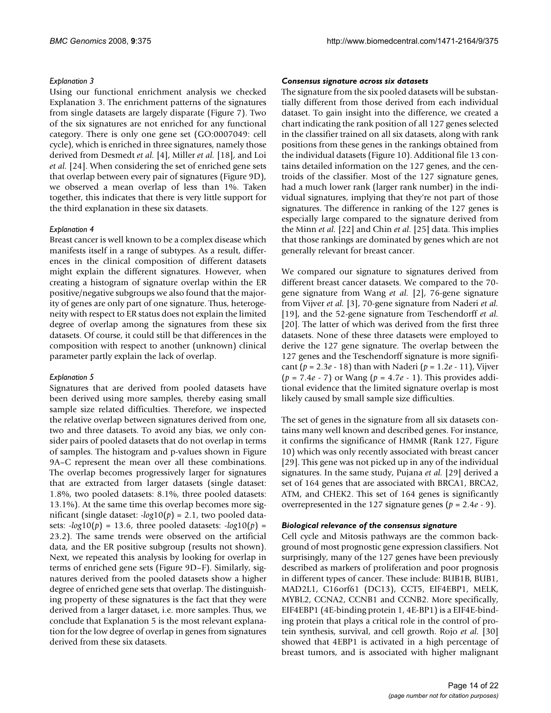#### *Explanation 3*

Using our functional enrichment analysis we checked Explanation 3. The enrichment patterns of the signatures from single datasets are largely disparate (Figure 7). Two of the six signatures are not enriched for any functional category. There is only one gene set (GO:0007049: cell cycle), which is enriched in three signatures, namely those derived from Desmedt *et al.* [4], Miller *et al.* [18], and Loi *et al.* [24]. When considering the set of enriched gene sets that overlap between every pair of signatures (Figure 9D), we observed a mean overlap of less than 1%. Taken together, this indicates that there is very little support for the third explanation in these six datasets.

#### *Explanation 4*

Breast cancer is well known to be a complex disease which manifests itself in a range of subtypes. As a result, differences in the clinical composition of different datasets might explain the different signatures. However, when creating a histogram of signature overlap within the ER positive/negative subgroups we also found that the majority of genes are only part of one signature. Thus, heterogeneity with respect to ER status does not explain the limited degree of overlap among the signatures from these six datasets. Of course, it could still be that differences in the composition with respect to another (unknown) clinical parameter partly explain the lack of overlap.

#### *Explanation 5*

Signatures that are derived from pooled datasets have been derived using more samples, thereby easing small sample size related difficulties. Therefore, we inspected the relative overlap between signatures derived from one, two and three datasets. To avoid any bias, we only consider pairs of pooled datasets that do not overlap in terms of samples. The histogram and p-values shown in Figure 9A–C represent the mean over all these combinations. The overlap becomes progressively larger for signatures that are extracted from larger datasets (single dataset: 1.8%, two pooled datasets: 8.1%, three pooled datasets: 13.1%). At the same time this overlap becomes more significant (single dataset: -*log*10(*p*) = 2.1, two pooled datasets: -*log*10(*p*) = 13.6, three pooled datasets: -*log*10(*p*) = 23.2). The same trends were observed on the artificial data, and the ER positive subgroup (results not shown). Next, we repeated this analysis by looking for overlap in terms of enriched gene sets (Figure 9D–F). Similarly, signatures derived from the pooled datasets show a higher degree of enriched gene sets that overlap. The distinguishing property of these signatures is the fact that they were derived from a larger dataset, i.e. more samples. Thus, we conclude that Explanation 5 is the most relevant explanation for the low degree of overlap in genes from signatures derived from these six datasets.

#### *Consensus signature across six datasets*

The signature from the six pooled datasets will be substantially different from those derived from each individual dataset. To gain insight into the difference, we created a chart indicating the rank position of all 127 genes selected in the classifier trained on all six datasets, along with rank positions from these genes in the rankings obtained from the individual datasets (Figure 10). Additional file 13 contains detailed information on the 127 genes, and the centroids of the classifier. Most of the 127 signature genes, had a much lower rank (larger rank number) in the individual signatures, implying that they're not part of those signatures. The difference in ranking of the 127 genes is especially large compared to the signature derived from the Minn *et al.* [22] and Chin *et al.* [25] data. This implies that those rankings are dominated by genes which are not generally relevant for breast cancer.

We compared our signature to signatures derived from different breast cancer datasets. We compared to the 70 gene signature from Wang *et al.* [2], 76-gene signature from Vijver *et al.* [3], 70-gene signature from Naderi *et al.* [19], and the 52-gene signature from Teschendorff *et al.* [20]. The latter of which was derived from the first three datasets. None of these three datasets were employed to derive the 127 gene signature. The overlap between the 127 genes and the Teschendorff signature is more significant (*p* = 2.3*e* - 18) than with Naderi (*p* = 1.2*e* - 11), Vijver (*p* = 7.4*e* - 7) or Wang (*p* = 4.7*e* - 1). This provides additional evidence that the limited signature overlap is most likely caused by small sample size difficulties.

The set of genes in the signature from all six datasets contains many well known and described genes. For instance, it confirms the significance of HMMR (Rank 127, Figure 10) which was only recently associated with breast cancer [29]. This gene was not picked up in any of the individual signatures. In the same study, Pujana *et al.* [29] derived a set of 164 genes that are associated with BRCA1, BRCA2, ATM, and CHEK2. This set of 164 genes is significantly overrepresented in the 127 signature genes (*p* = 2.4*e* - 9).

#### *Biological relevance of the consensus signature*

Cell cycle and Mitosis pathways are the common background of most prognostic gene expression classifiers. Not surprisingly, many of the 127 genes have been previously described as markers of proliferation and poor prognosis in different types of cancer. These include: BUB1B, BUB1, MAD2L1, C16orf61 (DC13), CCT5, EIF4EBP1, MELK, MYBL2, CCNA2, CCNB1 and CCNB2. More specifically, EIF4EBP1 (4E-binding protein 1, 4E-BP1) is a EIF4E-binding protein that plays a critical role in the control of protein synthesis, survival, and cell growth. Rojo *et al.* [30] showed that 4EBP1 is activated in a high percentage of breast tumors, and is associated with higher malignant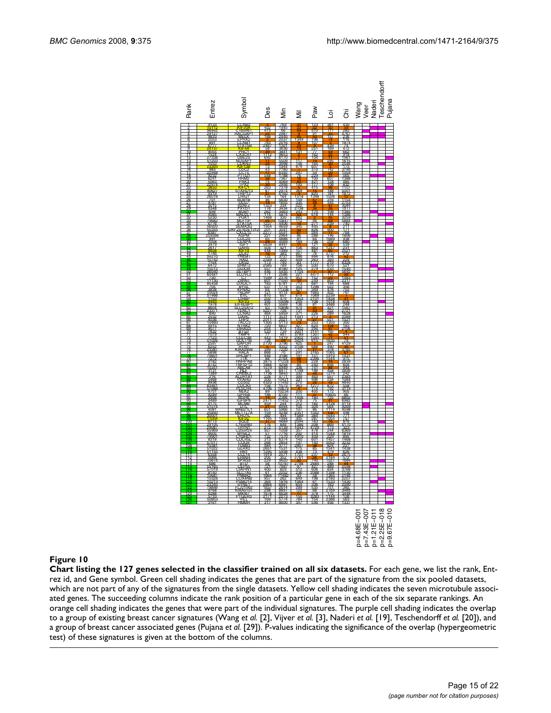

#### Figure 10

**Chart listing the 127 genes selected in the classifier trained on all six datasets.** For each gene, we list the rank, Entrez id, and Gene symbol. Green cell shading indicates the genes that are part of the signature from the six pooled datasets, which are not part of any of the signatures from the single datasets. Yellow cell shading indicates the seven microtubule associated genes. The succeeding columns indicate the rank position of a particular gene in each of the six separate rankings. An orange cell shading indicates the genes that were part of the individual signatures. The purple cell shading indicates the overlap to a group of existing breast cancer signatures (Wang *et al.* [2], Vijver *et al.* [3], Naderi *et al.* [19], Teschendorff *et al.* [20]), and a group of breast cancer associated genes (Pujana *et al.* [29]). P-values indicating the significance of the overlap (hypergeometric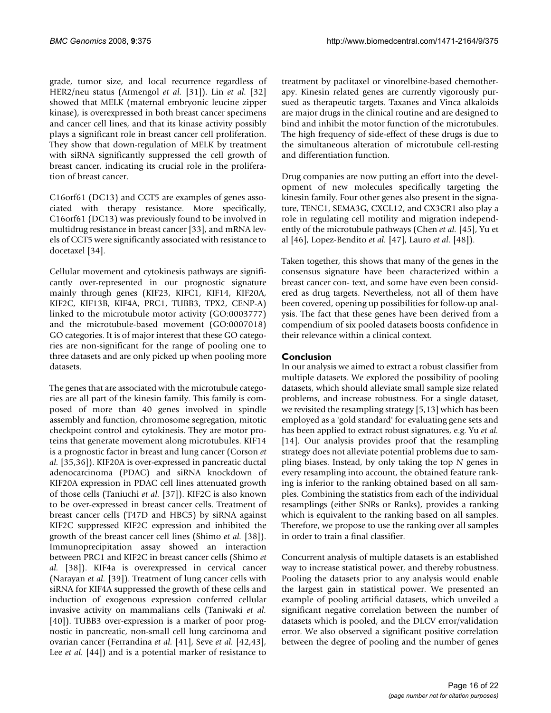grade, tumor size, and local recurrence regardless of HER2/neu status (Armengol *et al.* [31]). Lin *et al.* [32] showed that MELK (maternal embryonic leucine zipper kinase), is overexpressed in both breast cancer specimens and cancer cell lines, and that its kinase activity possibly plays a significant role in breast cancer cell proliferation. They show that down-regulation of MELK by treatment with siRNA significantly suppressed the cell growth of breast cancer, indicating its crucial role in the proliferation of breast cancer.

C16orf61 (DC13) and CCT5 are examples of genes associated with therapy resistance. More specifically, C16orf61 (DC13) was previously found to be involved in multidrug resistance in breast cancer [33], and mRNA levels of CCT5 were significantly associated with resistance to docetaxel [34].

Cellular movement and cytokinesis pathways are significantly over-represented in our prognostic signature mainly through genes (KIF23, KIFC1, KIF14, KIF20A, KIF2C, KIF13B, KIF4A, PRC1, TUBB3, TPX2, CENP-A) linked to the microtubule motor activity (GO:0003777) and the microtubule-based movement (GO:0007018) GO categories. It is of major interest that these GO categories are non-significant for the range of pooling one to three datasets and are only picked up when pooling more datasets.

The genes that are associated with the microtubule categories are all part of the kinesin family. This family is composed of more than 40 genes involved in spindle assembly and function, chromosome segregation, mitotic checkpoint control and cytokinesis. They are motor proteins that generate movement along microtubules. KIF14 is a prognostic factor in breast and lung cancer (Corson *et al.* [35,36]). KIF20A is over-expressed in pancreatic ductal adenocarcinoma (PDAC) and siRNA knockdown of KIF20A expression in PDAC cell lines attenuated growth of those cells (Taniuchi *et al.* [37]). KIF2C is also known to be over-expressed in breast cancer cells. Treatment of breast cancer cells (T47D and HBC5) by siRNA against KIF2C suppressed KIF2C expression and inhibited the growth of the breast cancer cell lines (Shimo *et al.* [38]). Immunoprecipitation assay showed an interaction between PRC1 and KIF2C in breast cancer cells (Shimo *et al.* [38]). KIF4a is overexpressed in cervical cancer (Narayan *et al.* [39]). Treatment of lung cancer cells with siRNA for KIF4A suppressed the growth of these cells and induction of exogenous expression conferred cellular invasive activity on mammalians cells (Taniwaki *et al.* [40]). TUBB3 over-expression is a marker of poor prognostic in pancreatic, non-small cell lung carcinoma and ovarian cancer (Ferrandina *et al.* [41], Seve *et al.* [42,43], Lee *et al.* [44]) and is a potential marker of resistance to

treatment by paclitaxel or vinorelbine-based chemotherapy. Kinesin related genes are currently vigorously pursued as therapeutic targets. Taxanes and Vinca alkaloids are major drugs in the clinical routine and are designed to bind and inhibit the motor function of the microtubules. The high frequency of side-effect of these drugs is due to the simultaneous alteration of microtubule cell-resting and differentiation function.

Drug companies are now putting an effort into the development of new molecules specifically targeting the kinesin family. Four other genes also present in the signature, TENC1, SEMA3G, CXCL12, and CX3CR1 also play a role in regulating cell motility and migration independently of the microtubule pathways (Chen *et al.* [45], Yu et al [46], Lopez-Bendito *et al.* [47], Lauro *et al.* [48]).

Taken together, this shows that many of the genes in the consensus signature have been characterized within a breast cancer con- text, and some have even been considered as drug targets. Nevertheless, not all of them have been covered, opening up possibilities for follow-up analysis. The fact that these genes have been derived from a compendium of six pooled datasets boosts confidence in their relevance within a clinical context.

## **Conclusion**

In our analysis we aimed to extract a robust classifier from multiple datasets. We explored the possibility of pooling datasets, which should alleviate small sample size related problems, and increase robustness. For a single dataset, we revisited the resampling strategy [5,13] which has been employed as a 'gold standard' for evaluating gene sets and has been applied to extract robust signatures, e.g. Yu *et al.* [14]. Our analysis provides proof that the resampling strategy does not alleviate potential problems due to sampling biases. Instead, by only taking the top *N* genes in every resampling into account, the obtained feature ranking is inferior to the ranking obtained based on all samples. Combining the statistics from each of the individual resamplings (either SNRs or Ranks), provides a ranking which is equivalent to the ranking based on all samples. Therefore, we propose to use the ranking over all samples in order to train a final classifier.

Concurrent analysis of multiple datasets is an established way to increase statistical power, and thereby robustness. Pooling the datasets prior to any analysis would enable the largest gain in statistical power. We presented an example of pooling artificial datasets, which unveiled a significant negative correlation between the number of datasets which is pooled, and the DLCV error/validation error. We also observed a significant positive correlation between the degree of pooling and the number of genes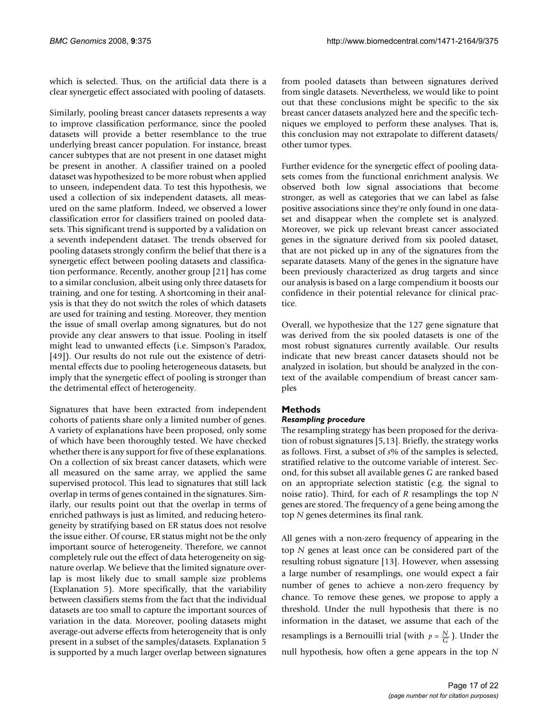which is selected. Thus, on the artificial data there is a clear synergetic effect associated with pooling of datasets.

Similarly, pooling breast cancer datasets represents a way to improve classification performance, since the pooled datasets will provide a better resemblance to the true underlying breast cancer population. For instance, breast cancer subtypes that are not present in one dataset might be present in another. A classifier trained on a pooled dataset was hypothesized to be more robust when applied to unseen, independent data. To test this hypothesis, we used a collection of six independent datasets, all measured on the same platform. Indeed, we observed a lower classification error for classifiers trained on pooled datasets. This significant trend is supported by a validation on a seventh independent dataset. The trends observed for pooling datasets strongly confirm the belief that there is a synergetic effect between pooling datasets and classification performance. Recently, another group [21] has come to a similar conclusion, albeit using only three datasets for training, and one for testing. A shortcoming in their analysis is that they do not switch the roles of which datasets are used for training and testing. Moreover, they mention the issue of small overlap among signatures, but do not provide any clear answers to that issue. Pooling in itself might lead to unwanted effects (i.e. Simpson's Paradox, [49]). Our results do not rule out the existence of detrimental effects due to pooling heterogeneous datasets, but imply that the synergetic effect of pooling is stronger than the detrimental effect of heterogeneity.

Signatures that have been extracted from independent cohorts of patients share only a limited number of genes. A variety of explanations have been proposed, only some of which have been thoroughly tested. We have checked whether there is any support for five of these explanations. On a collection of six breast cancer datasets, which were all measured on the same array, we applied the same supervised protocol. This lead to signatures that still lack overlap in terms of genes contained in the signatures. Similarly, our results point out that the overlap in terms of enriched pathways is just as limited, and reducing heterogeneity by stratifying based on ER status does not resolve the issue either. Of course, ER status might not be the only important source of heterogeneity. Therefore, we cannot completely rule out the effect of data heterogeneity on signature overlap. We believe that the limited signature overlap is most likely due to small sample size problems (Explanation 5). More specifically, that the variability between classifiers stems from the fact that the individual datasets are too small to capture the important sources of variation in the data. Moreover, pooling datasets might average-out adverse effects from heterogeneity that is only present in a subset of the samples/datasets. Explanation 5 is supported by a much larger overlap between signatures

from pooled datasets than between signatures derived from single datasets. Nevertheless, we would like to point out that these conclusions might be specific to the six breast cancer datasets analyzed here and the specific techniques we employed to perform these analyses. That is, this conclusion may not extrapolate to different datasets/ other tumor types.

Further evidence for the synergetic effect of pooling datasets comes from the functional enrichment analysis. We observed both low signal associations that become stronger, as well as categories that we can label as false positive associations since they're only found in one dataset and disappear when the complete set is analyzed. Moreover, we pick up relevant breast cancer associated genes in the signature derived from six pooled dataset, that are not picked up in any of the signatures from the separate datasets. Many of the genes in the signature have been previously characterized as drug targets and since our analysis is based on a large compendium it boosts our confidence in their potential relevance for clinical practice.

Overall, we hypothesize that the 127 gene signature that was derived from the six pooled datasets is one of the most robust signatures currently available. Our results indicate that new breast cancer datasets should not be analyzed in isolation, but should be analyzed in the context of the available compendium of breast cancer samples

## **Methods**

#### *Resampling procedure*

The resampling strategy has been proposed for the derivation of robust signatures [5,13]. Briefly, the strategy works as follows. First, a subset of *s*% of the samples is selected, stratified relative to the outcome variable of interest. Second, for this subset all available genes *G* are ranked based on an appropriate selection statistic (e.g. the signal to noise ratio). Third, for each of *R* resamplings the top *N* genes are stored. The frequency of a gene being among the top *N* genes determines its final rank.

All genes with a non-zero frequency of appearing in the top *N* genes at least once can be considered part of the resulting robust signature [13]. However, when assessing a large number of resamplings, one would expect a fair number of genes to achieve a non-zero frequency by chance. To remove these genes, we propose to apply a threshold. Under the null hypothesis that there is no information in the dataset, we assume that each of the resamplings is a Bernouilli trial (with  $p = \frac{N}{G}$ ). Under the null hypothesis, how often a gene appears in the top *N*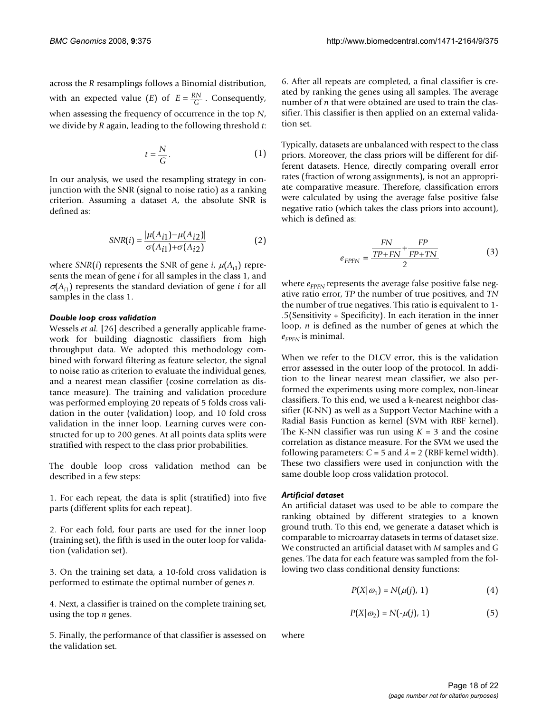across the *R* resamplings follows a Binomial distribution, with an expected value (*E*) of  $E = \frac{RN}{G}$ . Consequently, when assessing the frequency of occurrence in the top *N*, we divide by *R* again, leading to the following threshold *t*:

$$
t = \frac{N}{G}.\tag{1}
$$

In our analysis, we used the resampling strategy in conjunction with the SNR (signal to noise ratio) as a ranking criterion. Assuming a dataset *A*, the absolute SNR is defined as:

$$
SNR(i) = \frac{|\mu(A_{i1}) - \mu(A_{i2})|}{\sigma(A_{i1}) + \sigma(A_{i2})}
$$
(2)

where *SNR*(*i*) represents the SNR of gene *i*,  $\mu(A_{i1})$  represents the mean of gene *i* for all samples in the class 1, and  $\sigma(A_{i1})$  represents the standard deviation of gene *i* for all samples in the class 1.

#### *Double loop cross validation*

Wessels *et al.* [26] described a generally applicable framework for building diagnostic classifiers from high throughput data. We adopted this methodology combined with forward filtering as feature selector, the signal to noise ratio as criterion to evaluate the individual genes, and a nearest mean classifier (cosine correlation as distance measure). The training and validation procedure was performed employing 20 repeats of 5 folds cross validation in the outer (validation) loop, and 10 fold cross validation in the inner loop. Learning curves were constructed for up to 200 genes. At all points data splits were stratified with respect to the class prior probabilities.

The double loop cross validation method can be described in a few steps:

1. For each repeat, the data is split (stratified) into five parts (different splits for each repeat).

2. For each fold, four parts are used for the inner loop (training set), the fifth is used in the outer loop for validation (validation set).

3. On the training set data, a 10-fold cross validation is performed to estimate the optimal number of genes *n*.

4. Next, a classifier is trained on the complete training set, using the top *n* genes.

5. Finally, the performance of that classifier is assessed on the validation set.

6. After all repeats are completed, a final classifier is created by ranking the genes using all samples. The average number of *n* that were obtained are used to train the classifier. This classifier is then applied on an external validation set.

Typically, datasets are unbalanced with respect to the class priors. Moreover, the class priors will be different for different datasets. Hence, directly comparing overall error rates (fraction of wrong assignments), is not an appropriate comparative measure. Therefore, classification errors were calculated by using the average false positive false negative ratio (which takes the class priors into account), which is defined as:

$$
e_{FPFN} = \frac{FN}{TP + FN} + \frac{FP}{FP + TN}
$$
 (3)

where  $e_{FPFN}$  represents the average false positive false negative ratio error, *TP* the number of true positives, and *TN* the number of true negatives. This ratio is equivalent to 1- .5(Sensitivity + Specificity). In each iteration in the inner loop, *n* is defined as the number of genes at which the  $e_{EPEN}$  is minimal.

When we refer to the DLCV error, this is the validation error assessed in the outer loop of the protocol. In addition to the linear nearest mean classifier, we also performed the experiments using more complex, non-linear classifiers. To this end, we used a k-nearest neighbor classifier (K-NN) as well as a Support Vector Machine with a Radial Basis Function as kernel (SVM with RBF kernel). The K-NN classifier was run using  $K = 3$  and the cosine correlation as distance measure. For the SVM we used the following parameters:  $C = 5$  and  $\lambda = 2$  (RBF kernel width). These two classifiers were used in conjunction with the same double loop cross validation protocol.

#### *Artificial dataset*

An artificial dataset was used to be able to compare the ranking obtained by different strategies to a known ground truth. To this end, we generate a dataset which is comparable to microarray datasets in terms of dataset size. We constructed an artificial dataset with *M* samples and *G* genes. The data for each feature was sampled from the following two class conditional density functions:

$$
P(X|\omega_1) = N(\mu(j), 1)
$$
 (4)

$$
P(X|\omega_2) = N(-\mu(j), 1)
$$
 (5)

where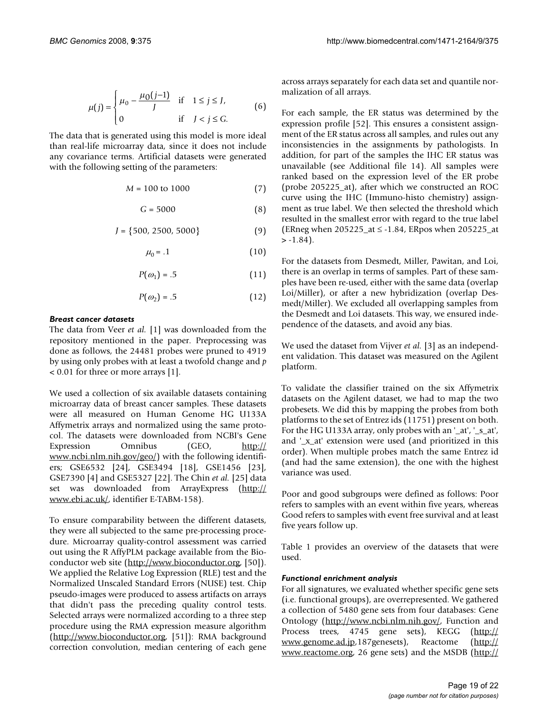$$
\mu(j) = \begin{cases} \mu_0 - \frac{\mu_0(j-1)}{J} & \text{if } 1 \le j \le J, \\ 0 & \text{if } J < j \le G. \end{cases}
$$
 (6)

The data that is generated using this model is more ideal than real-life microarray data, since it does not include any covariance terms. Artificial datasets were generated with the following setting of the parameters:

$$
M = 100 \text{ to } 1000 \tag{7}
$$

$$
G = 5000 \tag{8}
$$

$$
J = \{500, 2500, 5000\} \tag{9}
$$

$$
\mu_0 = .1 \tag{10}
$$

$$
P(\omega_1) = .5 \tag{11}
$$

$$
P(\omega_2) = .5 \tag{12}
$$

#### *Breast cancer datasets*

The data from Veer *et al.* [1] was downloaded from the repository mentioned in the paper. Preprocessing was done as follows, the 24481 probes were pruned to 4919 by using only probes with at least a twofold change and *p* < 0.01 for three or more arrays [1].

We used a collection of six available datasets containing microarray data of breast cancer samples. These datasets were all measured on Human Genome HG U133A Affymetrix arrays and normalized using the same protocol. The datasets were downloaded from NCBI's Gene Expression Omnibus (GEO, [http://](http://www.ncbi.nlm.nih.gov/geo/) [www.ncbi.nlm.nih.gov/geo/\)](http://www.ncbi.nlm.nih.gov/geo/) with the following identifiers; GSE6532 [24], GSE3494 [18], GSE1456 [23], GSE7390 [4] and GSE5327 [22]. The Chin *et al.* [25] data set was downloaded from ArrayExpress ([http://](http://www.ebi.ac.uk/) [www.ebi.ac.uk/](http://www.ebi.ac.uk/), identifier E-TABM-158).

To ensure comparability between the different datasets, they were all subjected to the same pre-processing procedure. Microarray quality-control assessment was carried out using the R AffyPLM package available from the Bioconductor web site [\(http://www.bioconductor.org,](http://www.bioconductor.org) [50]). We applied the Relative Log Expression (RLE) test and the Normalized Unscaled Standard Errors (NUSE) test. Chip pseudo-images were produced to assess artifacts on arrays that didn't pass the preceding quality control tests. Selected arrays were normalized according to a three step procedure using the RMA expression measure algorithm [\(http://www.bioconductor.org,](http://www.bioconductor.org) [51]): RMA background correction convolution, median centering of each gene across arrays separately for each data set and quantile normalization of all arrays.

For each sample, the ER status was determined by the expression profile [52]. This ensures a consistent assignment of the ER status across all samples, and rules out any inconsistencies in the assignments by pathologists. In addition, for part of the samples the IHC ER status was unavailable (see Additional file 14). All samples were ranked based on the expression level of the ER probe (probe 205225\_at), after which we constructed an ROC curve using the IHC (Immuno-histo chemistry) assignment as true label. We then selected the threshold which resulted in the smallest error with regard to the true label (ERneg when 205225\_at ≤ -1.84, ERpos when 205225\_at  $> -1.84$ .

For the datasets from Desmedt, Miller, Pawitan, and Loi, there is an overlap in terms of samples. Part of these samples have been re-used, either with the same data (overlap Loi/Miller), or after a new hybridization (overlap Desmedt/Miller). We excluded all overlapping samples from the Desmedt and Loi datasets. This way, we ensured independence of the datasets, and avoid any bias.

We used the dataset from Vijver *et al.* [3] as an independent validation. This dataset was measured on the Agilent platform.

To validate the classifier trained on the six Affymetrix datasets on the Agilent dataset, we had to map the two probesets. We did this by mapping the probes from both platforms to the set of Entrez ids (11751) present on both. For the HG U133A array, only probes with an '\_at', '\_s\_at', and '\_x\_at' extension were used (and prioritized in this order). When multiple probes match the same Entrez id (and had the same extension), the one with the highest variance was used.

Poor and good subgroups were defined as follows: Poor refers to samples with an event within five years, whereas Good refers to samples with event free survival and at least five years follow up.

Table 1 provides an overview of the datasets that were used.

#### *Functional enrichment analysis*

For all signatures, we evaluated whether specific gene sets (i.e. functional groups), are overrepresented. We gathered a collection of 5480 gene sets from four databases: Gene Ontology (<http://www.ncbi.nlm.nih.gov/>, Function and Process trees, 4745 gene sets), KEGG ([http://](http://www.genome.ad.jp) [www.genome.ad.jp,](http://www.genome.ad.jp)187genesets), Reactome ([http://](http://www.reactome.org) [www.reactome.org](http://www.reactome.org), 26 gene sets) and the MSDB ([http:/](http://www.broad.mit.edu/gsea/)/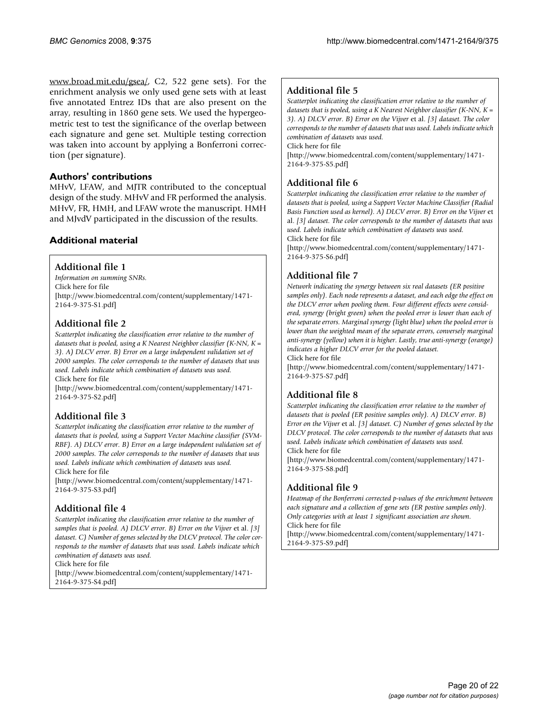[www.broad.mit.edu/gsea/](http://www.broad.mit.edu/gsea/), C2, 522 gene sets). For the enrichment analysis we only used gene sets with at least five annotated Entrez IDs that are also present on the array, resulting in 1860 gene sets. We used the hypergeometric test to test the significance of the overlap between each signature and gene set. Multiple testing correction was taken into account by applying a Bonferroni correction (per signature).

#### **Authors' contributions**

MHvV, LFAW, and MJTR contributed to the conceptual design of the study. MHvV and FR performed the analysis. MHvV, FR, HMH, and LFAW wrote the manuscript. HMH and MJvdV participated in the discussion of the results.

## **Additional material**

#### **Additional file 1**

*Information on summing SNRs.* Click here for file [\[http://www.biomedcentral.com/content/supplementary/1471-](http://www.biomedcentral.com/content/supplementary/1471-2164-9-375-S1.pdf) 2164-9-375-S1.pdf]

## **Additional file 2**

*Scatterplot indicating the classification error relative to the number of datasets that is pooled, using a K Nearest Neighbor classifier (K-NN, K = 3). A) DLCV error. B) Error on a large independent validation set of 2000 samples. The color corresponds to the number of datasets that was used. Labels indicate which combination of datasets was used.* Click here for file

[\[http://www.biomedcentral.com/content/supplementary/1471-](http://www.biomedcentral.com/content/supplementary/1471-2164-9-375-S2.pdf) 2164-9-375-S2.pdf]

## **Additional file 3**

*Scatterplot indicating the classification error relative to the number of datasets that is pooled, using a Support Vector Machine classifier (SVM-RBF). A) DLCV error. B) Error on a large independent validation set of 2000 samples. The color corresponds to the number of datasets that was used. Labels indicate which combination of datasets was used.* Click here for file

[\[http://www.biomedcentral.com/content/supplementary/1471-](http://www.biomedcentral.com/content/supplementary/1471-2164-9-375-S3.pdf) 2164-9-375-S3.pdf]

## **Additional file 4**

*Scatterplot indicating the classification error relative to the number of samples that is pooled. A) DLCV error. B) Error on the Vijver et al.* [3] *dataset. C) Number of genes selected by the DLCV protocol. The color corresponds to the number of datasets that was used. Labels indicate which combination of datasets was used.*

Click here for file

[\[http://www.biomedcentral.com/content/supplementary/1471-](http://www.biomedcentral.com/content/supplementary/1471-2164-9-375-S4.pdf) 2164-9-375-S4.pdf]

## **Additional file 5**

*Scatterplot indicating the classification error relative to the number of datasets that is pooled, using a K Nearest Neighbor classifier (K-NN, K = 3). A) DLCV error. B) Error on the Vijver* et al. *[3] dataset. The color corresponds to the number of datasets that was used. Labels indicate which combination of datasets was used.*

Click here for file

[\[http://www.biomedcentral.com/content/supplementary/1471-](http://www.biomedcentral.com/content/supplementary/1471-2164-9-375-S5.pdf) 2164-9-375-S5.pdf]

## **Additional file 6**

*Scatterplot indicating the classification error relative to the number of datasets that is pooled, using a Support Vector Machine Classifier (Radial Basis Function used as kernel). A) DLCV error. B) Error on the Vijver* et al. *[3] dataset. The color corresponds to the number of datasets that was used. Labels indicate which combination of datasets was used.* Click here for file

[\[http://www.biomedcentral.com/content/supplementary/1471-](http://www.biomedcentral.com/content/supplementary/1471-2164-9-375-S6.pdf) 2164-9-375-S6.pdf]

## **Additional file 7**

*Network indicating the synergy between six real datasets (ER positive samples only). Each node represents a dataset, and each edge the effect on the DLCV error when pooling them. Four different effects were considered, synergy (bright green) when the pooled error is lower than each of the separate errors. Marginal synergy (light blue) when the pooled error is lower than the weighted mean of the separate errors, conversely marginal anti-synergy (yellow) when it is higher. Lastly, true anti-synergy (orange) indicates a higher DLCV error for the pooled dataset.*

Click here for file

[\[http://www.biomedcentral.com/content/supplementary/1471-](http://www.biomedcentral.com/content/supplementary/1471-2164-9-375-S7.pdf) 2164-9-375-S7.pdf]

## **Additional file 8**

*Scatterplot indicating the classification error relative to the number of datasets that is pooled (ER positive samples only). A) DLCV error. B) Error on the Vijver* et al. *[3] dataset. C) Number of genes selected by the DLCV protocol. The color corresponds to the number of datasets that was used. Labels indicate which combination of datasets was used.* Click here for file

[\[http://www.biomedcentral.com/content/supplementary/1471-](http://www.biomedcentral.com/content/supplementary/1471-2164-9-375-S8.pdf) 2164-9-375-S8.pdf]

## **Additional file 9**

*Heatmap of the Bonferroni corrected p-values of the enrichment between each signature and a collection of gene sets (ER postive samples only). Only categories with at least 1 significant association are shown.* Click here for file

[\[http://www.biomedcentral.com/content/supplementary/1471-](http://www.biomedcentral.com/content/supplementary/1471-2164-9-375-S9.pdf) 2164-9-375-S9.pdf]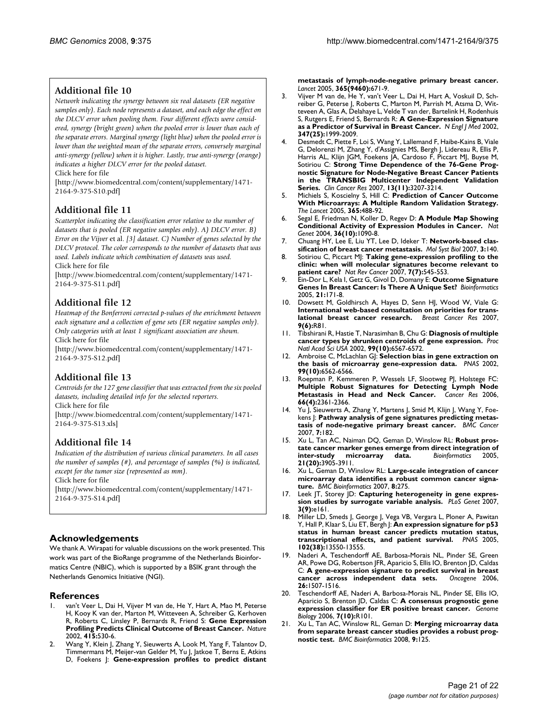## **Additional file 10**

*Network indicating the synergy between six real datasets (ER negative samples only). Each node represents a dataset, and each edge the effect on the DLCV error when pooling them. Four different effects were considered, synergy (bright green) when the pooled error is lower than each of the separate errors. Marginal synergy (light blue) when the pooled error is lower than the weighted mean of the separate errors, conversely marginal anti-synergy (yellow) when it is higher. Lastly, true anti-synergy (orange) indicates a higher DLCV error for the pooled dataset.*

Click here for file

[\[http://www.biomedcentral.com/content/supplementary/1471-](http://www.biomedcentral.com/content/supplementary/1471-2164-9-375-S10.pdf) 2164-9-375-S10.pdf]

## **Additional file 11**

*Scatterplot indicating the classification error relative to the number of datasets that is pooled (ER negative samples only). A) DLCV error. B) Error on the Vijver* et al. *[3] dataset. C) Number of genes selected by the DLCV protocol. The color corresponds to the number of datasets that was used. Labels indicate which combination of datasets was used.* Click here for file

[\[http://www.biomedcentral.com/content/supplementary/1471-](http://www.biomedcentral.com/content/supplementary/1471-2164-9-375-S11.pdf) 2164-9-375-S11.pdf]

## **Additional file 12**

*Heatmap of the Bonferroni corrected p-values of the enrichment between each signature and a collection of gene sets (ER negative samples only). Only categories with at least 1 significant association are shown.* Click here for file

[\[http://www.biomedcentral.com/content/supplementary/1471-](http://www.biomedcentral.com/content/supplementary/1471-2164-9-375-S12.pdf) 2164-9-375-S12.pdf]

## **Additional file 13**

*Centroids for the 127 gene classifier that was extracted from the six pooled datasets, including detailed info for the selected reporters.*

Click here for file

[\[http://www.biomedcentral.com/content/supplementary/1471-](http://www.biomedcentral.com/content/supplementary/1471-2164-9-375-S13.xls) 2164-9-375-S13.xls]

## **Additional file 14**

*Indication of the distribution of various clinical parameters. In all cases the number of samples (#), and percentage of samples (%) is indicated, except for the tumor size (represented as mm).*

Click here for file

[\[http://www.biomedcentral.com/content/supplementary/1471-](http://www.biomedcentral.com/content/supplementary/1471-2164-9-375-S14.pdf) 2164-9-375-S14.pdf]

#### **Acknowledgements**

We thank A. Wirapati for valuable discussions on the work presented. This work was part of the BioRange programme of the Netherlands Bioinformatics Centre (NBIC), which is supported by a BSIK grant through the Netherlands Genomics Initiative (NGI).

#### **References**

- van't Veer L, Dai H, Vijver M van de, He Y, Hart A, Mao M, Peterse H, Kooy K van der, Marton M, Witteveen A, Schreiber G, Kerhoven R, Roberts C, Linsley P, Bernards R, Friend S: **[Gene Expression](http://www.ncbi.nlm.nih.gov/entrez/query.fcgi?cmd=Retrieve&db=PubMed&dopt=Abstract&list_uids=11823860) [Profiling Predicts Clinical Outcome of Breast Cancer.](http://www.ncbi.nlm.nih.gov/entrez/query.fcgi?cmd=Retrieve&db=PubMed&dopt=Abstract&list_uids=11823860)** *Nature* 2002, **415:**530-6.
- 2. Wang Y, Klein J, Zhang Y, Sieuwerts A, Look M, Yang F, Talantov D, Timmermans M, Meijer-van Gelder M, Yu J, Jatkoe T, Berns E, Atkins D, Foekens J: **[Gene-expression profiles to predict distant](http://www.ncbi.nlm.nih.gov/entrez/query.fcgi?cmd=Retrieve&db=PubMed&dopt=Abstract&list_uids=15721472)**

**[metastasis of lymph-node-negative primary breast cancer.](http://www.ncbi.nlm.nih.gov/entrez/query.fcgi?cmd=Retrieve&db=PubMed&dopt=Abstract&list_uids=15721472)** *Lancet* 2005, **365(9460):**671-9.

- 3. Vijver M van de, He Y, van't Veer L, Dai H, Hart A, Voskuil D, Schreiber G, Peterse J, Roberts C, Marton M, Parrish M, Atsma D, Witteveen A, Glas A, Delahaye L, Velde T van der, Bartelink H, Rodenhuis S, Rutgers E, Friend S, Bernards R: **[A Gene-Expression Signature](http://www.ncbi.nlm.nih.gov/entrez/query.fcgi?cmd=Retrieve&db=PubMed&dopt=Abstract&list_uids=12490681) [as a Predictor of Survival in Breast Cancer.](http://www.ncbi.nlm.nih.gov/entrez/query.fcgi?cmd=Retrieve&db=PubMed&dopt=Abstract&list_uids=12490681)** *N Engl J Med* 2002, **347(25):**1999-2009.
- 4. Desmedt C, Piette F, Loi S, Wang Y, Lallemand F, Haibe-Kains B, Viale G, Delorenzi M, Zhang Y, d'Assignies MS, Bergh J, Lidereau R, Ellis P, Harris AL, Klijn JGM, Foekens JA, Cardoso F, Piccart MJ, Buyse M, Sotiriou C: **[Strong Time Dependence of the 76-Gene Prog](http://www.ncbi.nlm.nih.gov/entrez/query.fcgi?cmd=Retrieve&db=PubMed&dopt=Abstract&list_uids=17545524)[nostic Signature for Node-Negative Breast Cancer Patients](http://www.ncbi.nlm.nih.gov/entrez/query.fcgi?cmd=Retrieve&db=PubMed&dopt=Abstract&list_uids=17545524) in the TRANSBIG Multicenter Independent Validation [Series.](http://www.ncbi.nlm.nih.gov/entrez/query.fcgi?cmd=Retrieve&db=PubMed&dopt=Abstract&list_uids=17545524)** *Clin Cancer Res* 2007, **13(11):**3207-3214.
- 5. Michiels S, Koscielny S, Hill C: **Prediction of Cancer Outcome With Microarrays: A Multiple Random Validation Strategy.** *The Lancet* 2005, **365:**488-92.
- 6. Segal E, Friedman N, Koller D, Regev D: **[A Module Map Showing](http://www.ncbi.nlm.nih.gov/entrez/query.fcgi?cmd=Retrieve&db=PubMed&dopt=Abstract&list_uids=15448693) [Conditional Activity of Expression Modules in Cancer.](http://www.ncbi.nlm.nih.gov/entrez/query.fcgi?cmd=Retrieve&db=PubMed&dopt=Abstract&list_uids=15448693)** *Nat Genet* 2004, **36(10):**1090-8.
- 7. Chuang HY, Lee E, Liu YT, Lee D, Ideker T: **[Network-based clas](http://www.ncbi.nlm.nih.gov/entrez/query.fcgi?cmd=Retrieve&db=PubMed&dopt=Abstract&list_uids=17940530)[sification of breast cancer metastasis.](http://www.ncbi.nlm.nih.gov/entrez/query.fcgi?cmd=Retrieve&db=PubMed&dopt=Abstract&list_uids=17940530)** *Mol Syst Biol* 2007, **3:**140.
- 8. Sotiriou C, Piccart MJ: **[Taking gene-expression profiling to the](http://www.ncbi.nlm.nih.gov/entrez/query.fcgi?cmd=Retrieve&db=PubMed&dopt=Abstract&list_uids=17585334) [clinic: when will molecular signatures become relevant to](http://www.ncbi.nlm.nih.gov/entrez/query.fcgi?cmd=Retrieve&db=PubMed&dopt=Abstract&list_uids=17585334) [patient care?](http://www.ncbi.nlm.nih.gov/entrez/query.fcgi?cmd=Retrieve&db=PubMed&dopt=Abstract&list_uids=17585334)** *Nat Rev Cancer* 2007, **7(7):**545-553.
- 9. Ein-Dor L, Kela I, Getz G, Givol D, Domany E: **[Outcome Signature](http://www.ncbi.nlm.nih.gov/entrez/query.fcgi?cmd=Retrieve&db=PubMed&dopt=Abstract&list_uids=15308542) [Genes In Breast Cancer: Is There A Unique Set?](http://www.ncbi.nlm.nih.gov/entrez/query.fcgi?cmd=Retrieve&db=PubMed&dopt=Abstract&list_uids=15308542)** *Bioinformatics* 2005, **21:**171-8.
- 10. Dowsett M, Goldhirsch A, Hayes D, Senn HJ, Wood W, Viale G: International web-based consultation on priorities for trans-<br>**Iational breast cancer research.** Breast Cancer Res 2007, **[lational breast cancer research.](http://www.ncbi.nlm.nih.gov/entrez/query.fcgi?cmd=Retrieve&db=PubMed&dopt=Abstract&list_uids=18034879)** *Breast Cancer Res* 2007, **9(6):**R81.
- 11. Tibshirani R, Hastie T, Narasimhan B, Chu G: **[Diagnosis of multiple](http://www.ncbi.nlm.nih.gov/entrez/query.fcgi?cmd=Retrieve&db=PubMed&dopt=Abstract&list_uids=12011421) [cancer types by shrunken centroids of gene expression.](http://www.ncbi.nlm.nih.gov/entrez/query.fcgi?cmd=Retrieve&db=PubMed&dopt=Abstract&list_uids=12011421)** *Proc Natl Acad Sci USA* 2002, **99(10):**6567-6572.
- 12. Ambroise C, McLachlan GJ: **[Selection bias in gene extraction on](http://www.ncbi.nlm.nih.gov/entrez/query.fcgi?cmd=Retrieve&db=PubMed&dopt=Abstract&list_uids=11983868) [the basis of microarray gene-expression data.](http://www.ncbi.nlm.nih.gov/entrez/query.fcgi?cmd=Retrieve&db=PubMed&dopt=Abstract&list_uids=11983868)** *PNAS* 2002, **99(10):**6562-6566.
- 13. Roepman P, Kemmeren P, Wessels LF, Slootweg PJ, Holstege FC: **[Multiple Robust Signatures for Detecting Lymph Node](http://www.ncbi.nlm.nih.gov/entrez/query.fcgi?cmd=Retrieve&db=PubMed&dopt=Abstract&list_uids=16489042) [Metastasis in Head and Neck Cancer.](http://www.ncbi.nlm.nih.gov/entrez/query.fcgi?cmd=Retrieve&db=PubMed&dopt=Abstract&list_uids=16489042)** *Cancer Res* 2006, **66(4):**2361-2366.
- 14. Yu J, Sieuwerts A, Zhang Y, Martens J, Smid M, Klijn J, Wang Y, Foekens |: **[Pathway analysis of gene signatures predicting metas](http://www.ncbi.nlm.nih.gov/entrez/query.fcgi?cmd=Retrieve&db=PubMed&dopt=Abstract&list_uids=17894856)[tasis of node-negative primary breast cancer.](http://www.ncbi.nlm.nih.gov/entrez/query.fcgi?cmd=Retrieve&db=PubMed&dopt=Abstract&list_uids=17894856)** *BMC Cancer* 2007, **7:**182.
- 15. Xu L, Tan AC, Naiman DQ, Geman D, Winslow RL: **[Robust pros](http://www.ncbi.nlm.nih.gov/entrez/query.fcgi?cmd=Retrieve&db=PubMed&dopt=Abstract&list_uids=16131522)[tate cancer marker genes emerge from direct integration of](http://www.ncbi.nlm.nih.gov/entrez/query.fcgi?cmd=Retrieve&db=PubMed&dopt=Abstract&list_uids=16131522)** microarray **21(20):**3905-3911.
- 16. Xu L, Geman D, Winslow RL: **[Large-scale integration of cancer](http://www.ncbi.nlm.nih.gov/entrez/query.fcgi?cmd=Retrieve&db=PubMed&dopt=Abstract&list_uids=17663766) [microarray data identifies a robust common cancer signa](http://www.ncbi.nlm.nih.gov/entrez/query.fcgi?cmd=Retrieve&db=PubMed&dopt=Abstract&list_uids=17663766)[ture.](http://www.ncbi.nlm.nih.gov/entrez/query.fcgi?cmd=Retrieve&db=PubMed&dopt=Abstract&list_uids=17663766)** *BMC Bioinformatics* 2007, **8:**275.
- 17. Leek JT, Storey JD: **Capturing heterogeneity in gene expression studies by surrogate variable analysis.** *PLoS Genet* 2007, **3(9):**e161.
- 18. Miller LD, Smeds J, George J, Vega VB, Vergara L, Ploner A, Pawitan Y, Hall P, Klaar S, Liu ET, Bergh J: **[An expression signature for p53](http://www.ncbi.nlm.nih.gov/entrez/query.fcgi?cmd=Retrieve&db=PubMed&dopt=Abstract&list_uids=16141321) [status in human breast cancer predicts mutation status,](http://www.ncbi.nlm.nih.gov/entrez/query.fcgi?cmd=Retrieve&db=PubMed&dopt=Abstract&list_uids=16141321) [transcriptional effects, and patient survival.](http://www.ncbi.nlm.nih.gov/entrez/query.fcgi?cmd=Retrieve&db=PubMed&dopt=Abstract&list_uids=16141321)** *PNAS* 2005, **102(38):**13550-13555.
- 19. Naderi A, Teschendorff AE, Barbosa-Morais NL, Pinder SE, Green AR, Powe DG, Robertson JFR, Aparicio S, Ellis IO, Brenton JD, Caldas C: **[A gene-expression signature to predict survival in breast](http://www.ncbi.nlm.nih.gov/entrez/query.fcgi?cmd=Retrieve&db=PubMed&dopt=Abstract&list_uids=16936776) [cancer across independent data sets.](http://www.ncbi.nlm.nih.gov/entrez/query.fcgi?cmd=Retrieve&db=PubMed&dopt=Abstract&list_uids=16936776)** *Oncogene* 2006, **26:**1507-1516.
- 20. Teschendorff AE, Naderi A, Barbosa-Morais NL, Pinder SE, Ellis IO, Aparicio S, Brenton JD, Caldas C: **[A consensus prognostic gene](http://www.ncbi.nlm.nih.gov/entrez/query.fcgi?cmd=Retrieve&db=PubMed&dopt=Abstract&list_uids=17076897) [expression classifier for ER positive breast cancer.](http://www.ncbi.nlm.nih.gov/entrez/query.fcgi?cmd=Retrieve&db=PubMed&dopt=Abstract&list_uids=17076897)** *Genome Biology* 2006, **7(10):**R101.
- 21. Xu L, Tan AC, Winslow RL, Geman D: **[Merging microarray data](http://www.ncbi.nlm.nih.gov/entrez/query.fcgi?cmd=Retrieve&db=PubMed&dopt=Abstract&list_uids=18304324) [from separate breast cancer studies provides a robust prog](http://www.ncbi.nlm.nih.gov/entrez/query.fcgi?cmd=Retrieve&db=PubMed&dopt=Abstract&list_uids=18304324)[nostic test.](http://www.ncbi.nlm.nih.gov/entrez/query.fcgi?cmd=Retrieve&db=PubMed&dopt=Abstract&list_uids=18304324)** *BMC Bioinformatics* 2008, **9:**125.